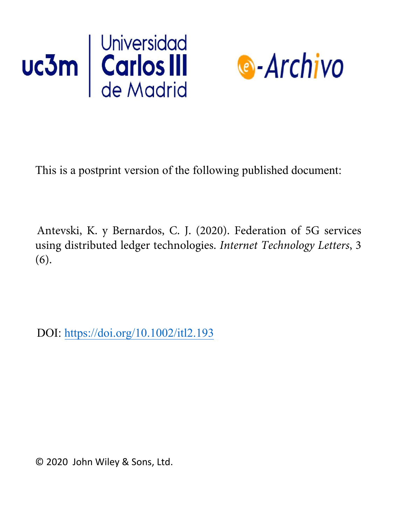



This is a postprint version of the following published document:

Antevski, K. y Bernardos, C. J. (2020). Federation of 5G services using distributed ledger technologies. *Internet Technology Letters*, 3 (6).

DOI: https://doi.org/10.1002/itl2.193

© 2020 John Wiley & Sons, Ltd.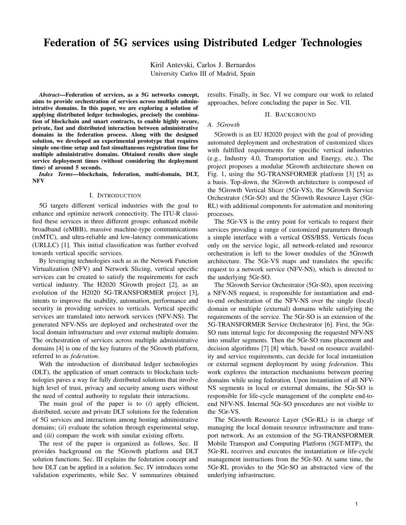# Federation of 5G services using Distributed Ledger Technologies

Kiril Antevski, Carlos J. Bernardos University Carlos III of Madrid, Spain

*Abstract*—Federation of services, as a 5G networks concept, aims to provide orchestration of services across multiple administrative domains. In this paper, we are exploring a solution of applying distributed ledger technologies, precisely the combination of blockchain and smart contracts, to enable highly secure, private, fast and distributed interaction between administrative domains in the federation process. Along with the designed solution, we developed an experimental prototype that requires simple one-time setup and fast simultaneous registration time for multiple administrative domains. Obtained results show single service deployment times (without considering the deployment time) of around 5 seconds.

*Index Terms*—blockchain, federation, multi-domain, DLT, NFV

## I. INTRODUCTION

5G targets different vertical industries with the goal to enhance and optimize network connectivity. The ITU-R classified these services in three different groups: enhanced mobile broadband (eMBB), massive machine-type communications (mMTC), and ultra-reliable and low-latency communications (URLLC) [1]. This initial classification was further evolved towards vertical specific services.

By leveraging technologies such as as the Network Function Virtualization (NFV) and Network Slicing, vertical specific services can be created to satisfy the requirements for each vertical industry. The H2020 5Growth project [2], as an evolution of the H2020 5G-TRANSFORMER project [3], intents to improve the usability, automation, performance and security in providing services to verticals. Vertical specific services are translated into network services (NFV-NS). The generated NFV-NSs are deployed and orchestrated over the local domain infrastructure and over external multiple domains. The orchestration of services across multiple administrative domains [4] is one of the key features of the 5Growth platform, referred to as *federation*.

With the introduction of distributed ledger technologies (DLT), the application of smart contracts to blockchain technologies paves a way for fully distributed solutions that involve high level of trust, privacy and security among users without the need of central authority to regulate their interactions.

The main goal of the paper is to (*i*) apply efficient, distributed, secure and private DLT solutions for the federation of 5G services and interactions among hosting administrative domains; (*ii*) evaluate the solution through experimental setup, and (*iii*) compare the work with similar existing efforts.

The rest of the paper is organized as follows. Sec. II provides background on the 5Growth platform and DLT solution functions. Sec. III explains the federation concept and how DLT can be applied in a solution. Sec. IV introduces some validation experiments, while Sec. V summarizes obtained results. Finally, in Sec. VI we compare our work to related approaches, before concluding the paper in Sec. VII.

## II. BACKGROUND

## *A. 5Growth*

5Growth is an EU H2020 project with the goal of providing automated deployment and orchestration of customized slices with fulfilled requirements for specific vertical industries (e.g., Industry 4.0, Transportation and Energy, etc.). The project proposes a modular 5Growth architecture shown on Fig. 1, using the 5G-TRANSFORMER platform [3] [5] as a basis. Top-down, the 5Growth architecture is composed of the 5Growth Vertical Slicer (5Gr-VS), the 5Growth Service Orchestrator (5Gr-SO) and the 5Growth Resource Layer (5Gr-RL) with additional components for automation and monitoring processes.

The 5Gr-VS is the entry point for verticals to request their services providing a range of customized parameters through a simple interface with a vertical OSS/BSS. Verticals focus only on the service logic, all network-related and resource orchestration is left to the lower modules of the 5Growth architecture. The 5Gr-VS maps and translates the specific request to a network service (NFV-NS), which is directed to the underlying 5Gr-SO.

The 5Growth Service Orchestrator (5Gr-SO), upon receiving a NFV-NS request, is responsible for instantiation and endto-end orchestration of the NFV-NS over the single (local) domain or multiple (external) domains while satisfying the requirements of the service. The 5Gr-SO is an extension of the 5G-TRANSFORMER Service Orchestrator [6]. First, the 5Gr-SO runs internal logic for decomposing the requested NFV-NS into smaller segments. Then the 5Gr-SO runs placement and decision algorithms [7] [8] which, based on resource availability and service requirements, can decide for local instantiation or external segment deployment by using *federation*. This work explores the interaction mechanisms between peering domains while using federation. Upon instantiation of all NFV-NS segments in local or external domains, the 5Gr-SO is responsible for life-cycle management of the complete end-toend NFV-NS. Internal 5Gr-SO procedures are not visible to the 5Gr-VS.

The 5Growth Resource Layer (5Gr-RL) is in charge of managing the local domain resource infrastructure and transport network. As an extension of the 5G-TRANSFORMER Mobile Transport and Computing Platform (5GT-MTP), the 5Gr-RL receives and executes the instantiation or life-cycle management instructions from the 5Gr-SO. At same time, the 5Gr-RL provides to the 5Gr-SO an abstracted view of the underlying infrastructure.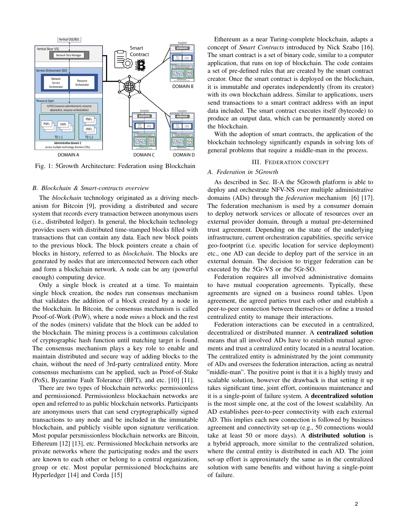

Fig. 1: 5Growth Architecture: Federation using Blockchain

## *B. Blockchain & Smart-contracts overview*

The *blockchain* technology originated as a driving mechanism for Bitcoin [9], providing a distributed and secure system that records every transaction between anonymous users (i.e., distributed ledger). In general, the blockchain technology provides users with distributed time-stamped blocks filled with transactions that can contain any data. Each new block points to the previous block. The block pointers create a chain of blocks in history, referred to as *blockchain*. The blocks are generated by nodes that are interconnected between each other and form a blockchain network. A node can be any (powerful enough) computing device.

Only a single block is created at a time. To maintain single block creation, the nodes run consensus mechanism that validates the addition of a block created by a node in the blockchain. In Bitcoin, the consensus mechanism is called Proof-of-Work (PoW), where a node *mines* a block and the rest of the nodes (miners) validate that the block can be added to the blockchain. The mining process is a continuous calculation of cryptographic hash function until matching target is found. The consensus mechanism plays a key role to enable and maintain distributed and secure way of adding blocks to the chain, without the need of 3rd-party centralized entity. More consensus mechanisms can be applied, such as Proof-of-Stake (PoS), Byzantine Fault Tolerance (BFT), and etc. [10] [11].

There are two types of blockchain networks: permissionless and permissioned. Permissionless blockachain networks are open and referred to as public blockchain networks. Participants are anonymous users that can send cryptographically signed transactions to any node and be included in the immutable blockchain, and publicly visible upon signature verification. Most popular persmissionless blockchain networks are Bitcoin, Ethereum [12] [13], etc. Permissioned blockchain networks are private networks where the participating nodes and the users are known to each other or belong to a central organization, group or etc. Most popular permissioned blockchains are Hyperledger [14] and Corda [15]

Ethereum as a near Turing-complete blockchain, adapts a concept of *Smart Contracts* introduced by Nick Szabo [16]. The smart contract is a set of binary code, similar to a computer application, that runs on top of blockchain. The code contains a set of pre-defined rules that are created by the smart contract creator. Once the smart contract is deployed on the blockchain, it is immutable and operates independently (from its creator) with its own blockchain address. Similar to applications, users send transactions to a smart contract address with an input data included. The smart contract executes itself (bytecode) to produce an output data, which can be permanently stored on the blockchain.

With the adoption of smart contracts, the application of the blockchain technology significantly expands in solving lots of general problems that require a middle-man in the process.

#### III. FEDERATION CONCEPT

## *A. Federation in 5Growth*

As described in Sec. II-A the 5Growth platform is able to deploy and orchestrate NFV-NS over multiple administrative domains (ADs) through the *federation* mechanism [6] [17]. The federation mechanism is used by a consumer domain to deploy network services or allocate of resources over an external provider domain, through a mutual pre-determined trust agreement. Depending on the state of the underlying infrastructure, current orchestration capabilities, specific service geo-footprint (i.e. specific location for service deployment) etc., one AD can decide to deploy part of the service in an external domain. The decision to trigger federation can be executed by the 5Gr-VS or the 5Gr-SO.

Federation requires all involved administrative domains to have mutual cooperation agreements. Typically, these agreements are signed on a business round tables. Upon agreement, the agreed parties trust each other and establish a peer-to-peer connection between themselves or define a trusted centralized entity to manage their interactions.

Federation interactions can be executed in a centralized, decentralized or distributed manner. A centralized solution means that all involved ADs have to establish mutual agreements and trust a centralized entity located in a neutral location. The centralized entity is administrated by the joint community of ADs and oversees the federation interaction, acting as neutral "middle-man". The positive point is that it is a highly trusty and scalable solution, however the drawback is that setting it up takes significant time, joint effort, continuous maintenance and it is a single-point of failure system. A decentralized solution is the most simple one, at the cost of the lowest scalability. An AD establishes peer-to-peer connectivity with each external AD. This implies each new connection is followed by business agreement and connectivity set-up (e.g., 50 connections would take at least 50 or more days). A distributed solution is a hybrid approach, more similar to the centralized solution, where the central entity is distributed in each AD. The joint set-up effort is approximately the same as in the centralized solution with same benefits and without having a single-point of failure.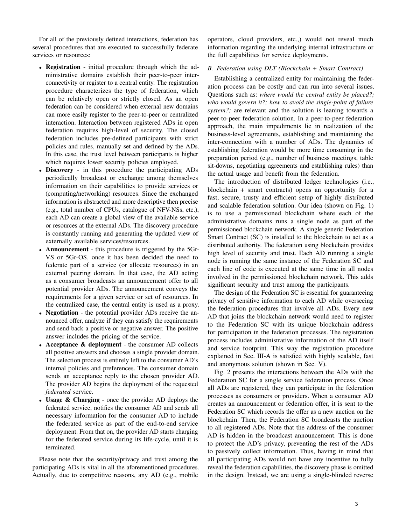For all of the previously defined interactions, federation has several procedures that are executed to successfully federate services or resources:

- Registration initial procedure through which the administrative domains establish their peer-to-peer interconnectivity or register to a central entity. The registration procedure characterizes the type of federation, which can be relatively open or strictly closed. As an open federation can be considered when external new domains can more easily register to the peer-to-peer or centralized interaction. Interaction between registered ADs in open federation requires high-level of security. The closed federation includes pre-defined participants with strict policies and rules, manually set and defined by the ADs. In this case, the trust level between participants is higher which requires lower security policies employed.
- Discovery in this procedure the participating ADs periodically broadcast or exchange among themselves information on their capabilities to provide services or (computing/networking) resources. Since the exchanged information is abstracted and more descriptive then precise (e.g., total number of CPUs, catalogue of NFV-NSs, etc.), each AD can create a global view of the available service or resources at the external ADs. The discovery procedure is constantly running and generating the updated view of externally available services/resources.
- **Announcement** this procedure is triggered by the 5Gr-VS or 5Gr-OS, once it has been decided the need to federate part of a service (or allocate resources) in an external peering domain. In that case, the AD acting as a consumer broadcasts an announcement offer to all potential provider ADs. The announcement conveys the requirements for a given service or set of resources. In the centralized case, the central entity is used as a proxy.
- Negotiation the potential provider ADs receive the announced offer, analyze if they can satisfy the requirements and send back a positive or negative answer. The positive answer includes the pricing of the service.
- Acceptance & deployment the consumer AD collects all positive answers and chooses a single provider domain. The selection process is entirely left to the consumer AD's internal policies and preferences. The consumer domain sends an acceptance reply to the chosen provider AD. The provider AD begins the deployment of the requested *federated* service.
- Usage & Charging once the provider AD deploys the federated service, notifies the consumer AD and sends all necessary information for the consumer AD to include the federated service as part of the end-to-end service deployment. From that on, the provider AD starts charging for the federated service during its life-cycle, until it is terminated.

Please note that the security/privacy and trust among the participating ADs is vital in all the aforementioned procedures. Actually, due to competitive reasons, any AD (e.g., mobile operators, cloud providers, etc.,) would not reveal much information regarding the underlying internal infrastructure or the full capabilities for service deployments.

# *B. Federation using DLT (Blockchain + Smart Contract)*

Establishing a centralized entity for maintaining the federation process can be costly and can run into several issues. Questions such as: *where would the central entity be placed?; who would govern it?; how to avoid the single-point of failure system?;* are relevant and the solution is leaning towards a peer-to-peer federation solution. In a peer-to-peer federation approach, the main impediments lie in realization of the business-level agreements, establishing and maintaining the inter-connection with a number of ADs. The dynamics of establishing federation would be more time consuming in the preparation period (e.g., number of business meetings, table sit-downs, negotiating agreements and establishing rules) than the actual usage and benefit from the federation.

The introduction of distributed ledger technologies (i.e., blockchain + smart contracts) opens an opportunity for a fast, secure, trusty and efficient setup of highly distributed and scalable federation solution. Our idea (shown on Fig. 1) is to use a permissioned blockchain where each of the administrative domains runs a single node as part of the permissioned blockchain network. A single generic Federation Smart Contract (SC) is installed to the blockchain to act as a distributed authority. The federation using blockchain provides high level of security and trust. Each AD running a single node is running the same instance of the Federation SC and each line of code is executed at the same time in all nodes involved in the permissioned blockchain network. This adds significant security and trust among the participants.

The design of the Federation SC is essential for guaranteeing privacy of sensitive information to each AD while overseeing the federation procedures that involve all ADs. Every new AD that joins the blockchain network would need to register to the Federation SC with its unique blockchain address for participation in the federation processes. The registration process includes administrative information of the AD itself and service footprint. This way the registration procedure explained in Sec. III-A is satisfied with highly scalable, fast and anonymous solution (shown in Sec. V).

Fig. 2 presents the interactions between the ADs with the Federation SC for a single service federation process. Once all ADs are registered, they can participate in the federation processes as consumers or providers. When a consumer AD creates an announcement or federation offer, it is sent to the Federation SC which records the offer as a new auction on the blockchain. Then, the Federation SC broadcasts the auction to all registered ADs. Note that the address of the consumer AD is hidden in the broadcast announcement. This is done to protect the AD's privacy, preventing the rest of the ADs to passively collect information. Thus, having in mind that all participating ADs would not have any incentive to fully reveal the federation capabilities, the discovery phase is omitted in the design. Instead, we are using a single-blinded reverse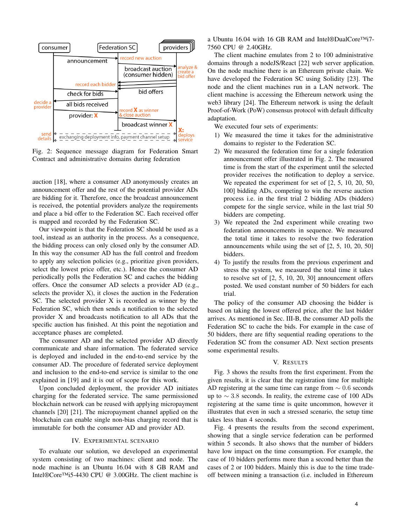

Fig. 2: Sequence message diagram for Federation Smart Contract and administrative domains during federation

auction [18], where a consumer AD anonymously creates an announcement offer and the rest of the potential provider ADs are bidding for it. Therefore, once the broadcast announcement is received, the potential providers analyze the requirements and place a bid offer to the Federation SC. Each received offer is mapped and recorded by the Federation SC.

Our viewpoint is that the Federation SC should be used as a tool, instead as an authority in the process. As a consequence, the bidding process can only closed only by the consumer AD. In this way the consumer AD has the full control and freedom to apply any selection policies (e.g., prioritize given providers, select the lowest price offer, etc.). Hence the consumer AD periodically polls the Federation SC and caches the bidding offers. Once the consumer AD selects a provider AD (e.g., selects the provider X), it closes the auction in the Federation SC. The selected provider X is recorded as winner by the Federation SC, which then sends a notification to the selected provider X and broadcasts notification to all ADs that the specific auction has finished. At this point the negotiation and acceptance phases are completed.

The consumer AD and the selected provider AD directly communicate and share information. The federated service is deployed and included in the end-to-end service by the consumer AD. The procedure of federated service deployment and inclusion to the end-to-end service is similar to the one explained in [19] and it is out of scope for this work.

Upon concluded deployment, the provider AD initiates charging for the federated service. The same permissioned blockchain network can be reused with applying micropayment channels [20] [21]. The micropayment channel applied on the blockchain can enable single non-bias charging record that is immutable for both the consumer AD and provider AD.

# IV. EXPERIMENTAL SCENARIO

To evaluate our solution, we developed an experimental system consisting of two machines: client and node. The node machine is an Ubuntu 16.04 with 8 GB RAM and Intel®Core™i5-4430 CPU @ 3.00GHz. The client machine is a Ubuntu 16.04 with 16 GB RAM and Intel®DualCore™i7- 7560 CPU @ 2.40GHz.

The client machine emulates from 2 to 100 administrative domains through a nodeJS/React [22] web server application. On the node machine there is an Ethereum private chain. We have developed the Federation SC using Solidity [23]. The node and the client machines run in a LAN network. The client machine is accessing the Ethereum network using the web3 library [24]. The Ethereum network is using the default Proof-of-Work (PoW) consensus protocol with default difficulty adaptation.

We executed four sets of experiments:

- 1) We measured the time it takes for the administrative domains to register to the Federation SC.
- 2) We measured the federation time for a single federation announcement offer illustrated in Fig. 2. The measured time is from the start of the experiment until the selected provider receives the notification to deploy a service. We repeated the experiment for set of [2, 5, 10, 20, 50, 100] bidding ADs, competing to win the reverse auction process i.e. in the first trial 2 bidding ADs (bidders) compete for the single service, while in the last trial 50 bidders are competing.
- 3) We repeated the 2nd experiment while creating two federation announcements in sequence. We measured the total time it takes to resolve the two federation announcements while using the set of [2, 5, 10, 20, 50] bidders.
- 4) To justify the results from the previous experiment and stress the system, we measured the total time it takes to resolve set of [2, 5, 10, 20, 30] announcement offers posted. We used constant number of 50 bidders for each trial.

The policy of the consumer AD choosing the bidder is based on taking the lowest offered price, after the last bidder arrives. As mentioned in Sec. III-B, the consumer AD polls the Federation SC to cache the bids. For example in the case of 50 bidders, there are fifty sequential reading operations to the Federation SC from the consumer AD. Next section presents some experimental results.

# V. RESULTS

Fig. 3 shows the results from the first experiment. From the given results, it is clear that the registration time for multiple AD registering at the same time can range from  $\sim 0.6$  seconds up to  $\sim$  3.8 seconds. In reality, the extreme case of 100 ADs registering at the same time is quite uncommon, however it illustrates that even in such a stressed scenario, the setup time takes less than 4 seconds.

Fig. 4 presents the results from the second experiment, showing that a single service federation can be performed within 5 seconds. It also shows that the number of bidders have low impact on the time consumption. For example, the case of 10 bidders performs more than a second better than the cases of 2 or 100 bidders. Mainly this is due to the time tradeoff between mining a transaction (i.e. included in Ethereum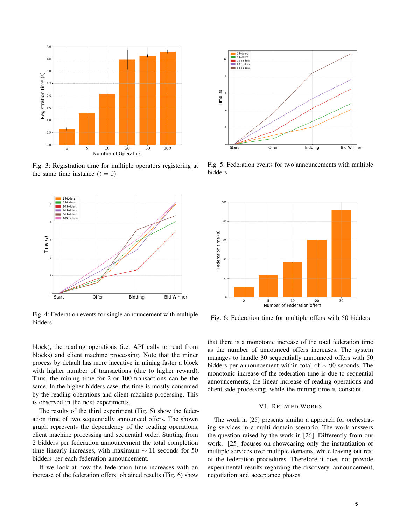

Fig. 3: Registration time for multiple operators registering at the same time instance  $(t = 0)$ 



Fig. 4: Federation events for single announcement with multiple bidders

block), the reading operations (i.e. API calls to read from blocks) and client machine processing. Note that the miner process by default has more incentive in mining faster a block with higher number of transactions (due to higher reward). Thus, the mining time for 2 or 100 transactions can be the same. In the higher bidders case, the time is mostly consumed by the reading operations and client machine processing. This is observed in the next experiments.

The results of the third experiment (Fig. 5) show the federation time of two sequentially announced offers. The shown graph represents the dependency of the reading operations, client machine processing and sequential order. Starting from 2 bidders per federation announcement the total completion time linearly increases, with maximum  $\sim$  11 seconds for 50 bidders per each federation announcement.

If we look at how the federation time increases with an increase of the federation offers, obtained results (Fig. 6) show



Fig. 5: Federation events for two announcements with multiple bidders



Fig. 6: Federation time for multiple offers with 50 bidders

that there is a monotonic increase of the total federation time as the number of announced offers increases. The system manages to handle 30 sequentially announced offers with 50 bidders per announcement within total of ∼ 90 seconds. The monotonic increase of the federation time is due to sequential announcements, the linear increase of reading operations and client side processing, while the mining time is constant.

## VI. RELATED WORKS

The work in [25] presents similar a approach for orchestrating services in a multi-domain scenario. The work answers the question raised by the work in [26]. Differently from our work, [25] focuses on showcasing only the instantiation of multiple services over multiple domains, while leaving out rest of the federation procedures. Therefore it does not provide experimental results regarding the discovery, announcement, negotiation and acceptance phases.